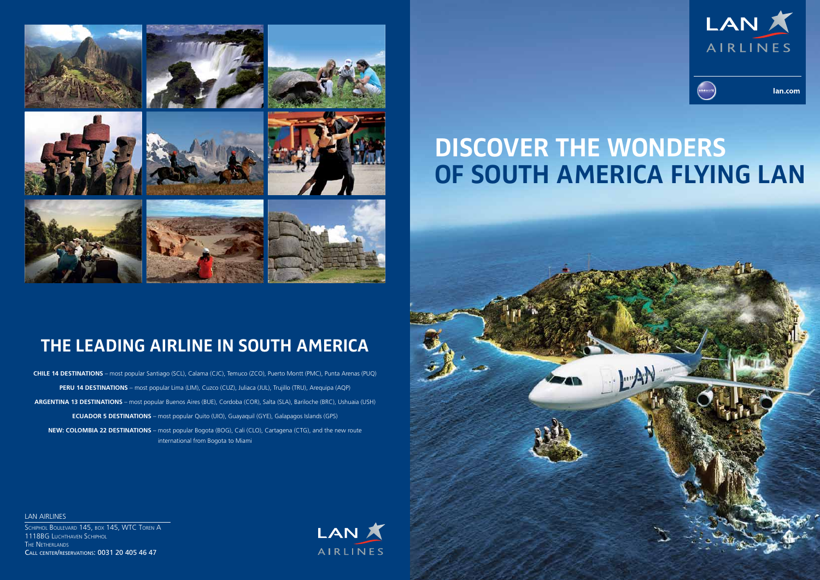**DISCOVER THE WONDERS** 



# **OF SOUTH AMERICA FLYING LAN**

LAN AIRLINES SCHIPHOL BOULEVARD 145, BOX 145, WTC TOREN A 1118BG Luchthaven Schiphol The Netherlands Call center/reservations: 0031 20 405 46 47





lan.com



## **THE LEADING AIRLINE IN SOUTH AMERICA**

**CHILE 14 DESTINATIONS** – most popular Santiago (SCL), Calama (CJC), Temuco (ZCO), Puerto Montt (PMC), Punta Arenas (PUQ) **PERU 14 DESTINATIONS** – most popular Lima (LIM), Cuzco (CUZ), Juliaca (JUL), Trujillo (TRU), Arequipa (AQP) **ARGENTINA 13 DESTINATIONS** – most popular Buenos Aires (BUE), Cordoba (COR), Salta (SLA), Bariloche (BRC), Ushuaia (USH) **ECUADOR 5 DESTINATIONS** – most popular Quito (UIO), Guayaquil (GYE), Galapagos Islands (GPS) **NEW: COLOMBIA 22 DESTINATIONS** – most popular Bogota (BOG), Cali (CLO), Cartagena (CTG), and the new route international from Bogota to Miami